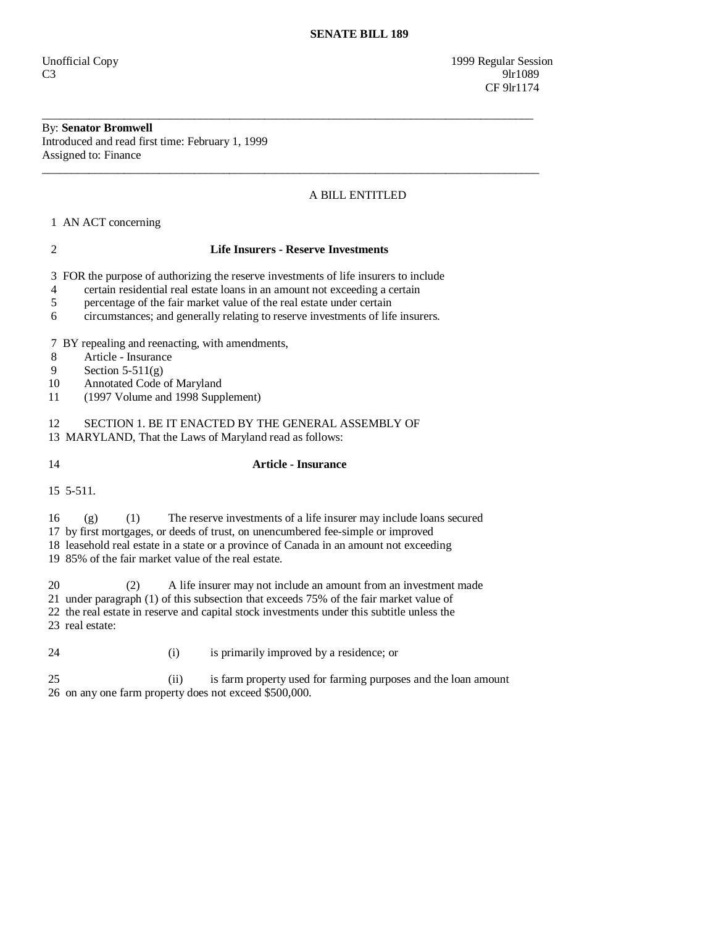Unofficial Copy 1999 Regular Session  $C3$  9lr1089 CF 9lr1174

#### By: **Senator Bromwell**  Introduced and read first time: February 1, 1999

Assigned to: Finance \_\_\_\_\_\_\_\_\_\_\_\_\_\_\_\_\_\_\_\_\_\_\_\_\_\_\_\_\_\_\_\_\_\_\_\_\_\_\_\_\_\_\_\_\_\_\_\_\_\_\_\_\_\_\_\_\_\_\_\_\_\_\_\_\_\_\_\_\_\_\_\_\_\_\_\_\_\_\_\_\_\_\_\_\_

## A BILL ENTITLED

1 AN ACT concerning

#### 2 **Life Insurers - Reserve Investments**

\_\_\_\_\_\_\_\_\_\_\_\_\_\_\_\_\_\_\_\_\_\_\_\_\_\_\_\_\_\_\_\_\_\_\_\_\_\_\_\_\_\_\_\_\_\_\_\_\_\_\_\_\_\_\_\_\_\_\_\_\_\_\_\_\_\_\_\_\_\_\_\_\_\_\_\_\_\_\_\_\_\_\_\_

3 FOR the purpose of authorizing the reserve investments of life insurers to include

- 4 certain residential real estate loans in an amount not exceeding a certain
- 5 percentage of the fair market value of the real estate under certain
- 6 circumstances; and generally relating to reserve investments of life insurers.

7 BY repealing and reenacting, with amendments,

- 8 Article Insurance
- 9 Section 5-511(g)
- 10 Annotated Code of Maryland
- 11 (1997 Volume and 1998 Supplement)

12 SECTION 1. BE IT ENACTED BY THE GENERAL ASSEMBLY OF 13 MARYLAND, That the Laws of Maryland read as follows:

### 14 **Article - Insurance**

15 5-511.

16 (g) (1) The reserve investments of a life insurer may include loans secured

17 by first mortgages, or deeds of trust, on unencumbered fee-simple or improved

18 leasehold real estate in a state or a province of Canada in an amount not exceeding

19 85% of the fair market value of the real estate.

20 (2) A life insurer may not include an amount from an investment made

21 under paragraph (1) of this subsection that exceeds 75% of the fair market value of

- 22 the real estate in reserve and capital stock investments under this subtitle unless the
- 23 real estate:
- 24 (i) is primarily improved by a residence; or

 25 (ii) is farm property used for farming purposes and the loan amount 26 on any one farm property does not exceed \$500,000.